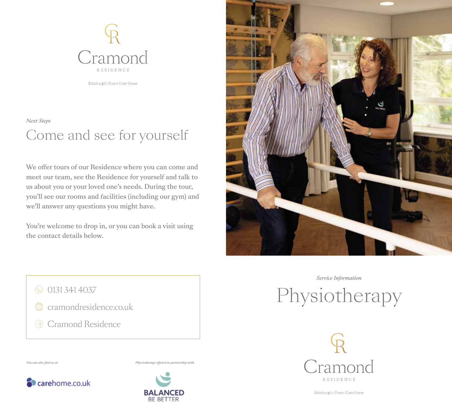

Edinburgh's Finest Care Home

Come and see for yourself *Next Steps*

We offer tours of our Residence where you can come and meet our team, see the Residence for yourself and talk to us about you or your loved one's needs. During the tour, you'll see our rooms and facilities (including our gym) and we'll answer any questions you might have.

You're welcome to drop in, or you can book a visit using the contact details below.



*Service Information*

Physiotherapy



Edinburgh's Finest Care Home

© 0131 341 4037

- cramondresidence.co.uk
- **G** Cramond Residence

*You can also find us at Physiotherapy offered in partnership with*